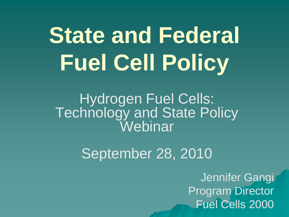# **State and Federal Fuel Cell Policy**

Hydrogen Fuel Cells: Technology and State Policy Webinar

September 28, 2010

Jennifer Gangi Program Director Fuel Cells 2000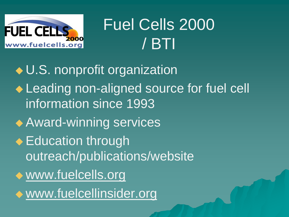

# Fuel Cells 2000 / BTI

◆ U.S. nonprofit organization ◆ Leading non-aligned source for fuel cell information since 1993 **Award-winning services** ◆ Education through outreach/publications/website www.fuelcells.org www.fuelcellinsider.org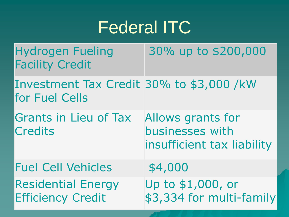#### Federal ITC

Hydrogen Fueling Facility Credit 30% up to \$200,000

Investment Tax Credit 30% to \$3,000 /kW for Fuel Cells

Grants in Lieu of Tax **Credits** Allows grants for businesses with insufficient tax liability

Fuel Cell Vehicles \$4,000 Residential Energy Efficiency Credit Up to \$1,000, or \$3,334 for multi-family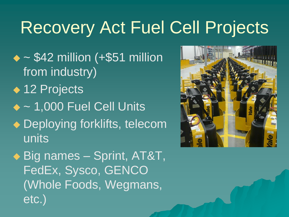# Recovery Act Fuel Cell Projects

- $\triangle$  ~ \$42 million (+\$51 million from industry)
- ◆ 12 Projects
- $\triangle$  ~ 1,000 Fuel Cell Units
- Deploying forklifts, telecom units
- ◆ Big names Sprint, AT&T, FedEx, Sysco, GENCO (Whole Foods, Wegmans, etc.)

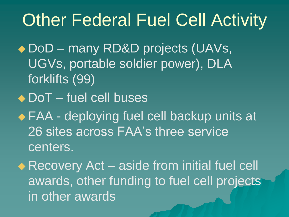# Other Federal Fuel Cell Activity

◆ DoD – many RD&D projects (UAVs, UGVs, portable soldier power), DLA forklifts (99)

- ◆ DoT fuel cell buses
- ◆ FAA deploying fuel cell backup units at 26 sites across FAA's three service centers.
- ◆ Recovery Act aside from initial fuel cell awards, other funding to fuel cell projects in other awards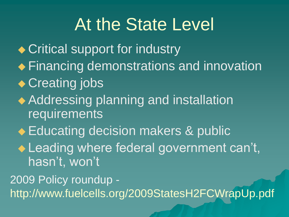### At the State Level

◆ Critical support for industry ◆ Financing demonstrations and innovation ◆ Creating jobs ◆ Addressing planning and installation requirements ◆ Educating decision makers & public ◆ Leading where federal government can't, hasn't, won't 2009 Policy roundup http://www.fuelcells.org/2009StatesH2FCWrapUp.pdf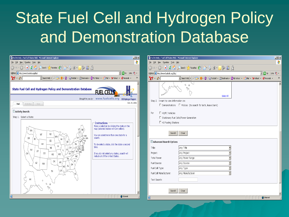### State Fuel Cell and Hydrogen Policy and Demonstration Database

| $\ddot{\textbf{r}}$<br>File Edit View Favorites Tools Help<br>File Edit View Favorites Tools Help<br>$\bigodot$ Back $\cdot$ $\bigodot$ $\cdot$ $\blacksquare$ $\bigcirc$ $\bigcirc$ $\bigcirc$ $\bigcirc$ $\bigcirc$ $\bigcirc$ $\mathcal{C}$ if $\mathcal{C}$ $\bigcirc$ $\bigcirc$ $\bigcirc$ $\mathcal{C}$ $\bigcirc$ $\bigcirc$ $\mathcal{C}$ $\bigcirc$ $\bigcirc$ $\mathcal{C}$ $\bigcirc$ $\bigcirc$ $\mathcal{C}$ $\bigcirc$ $\bigcirc$ $\mathcal{C}$ $\bigcirc$ $\bigcirc$ $\bigcirc$<br>$\bigodot$ Back $\cdot$ $\bigodot$ $\cdot$ $\mathbb{R}$ $\bigcirc$ $\bigcirc$ $\bigcirc$ $\bigcirc$ $\bigcirc$ $\bigcirc$ search $\bigcirc$ Favorites $\bigcirc$ $\bigcirc$ $\bigcirc$ $\bigcirc$ $\mathbb{R}$ $\cdot$ $\bigcirc$ $\bigcirc$ $\bigcirc$ $\bigcirc$ $\bigcirc$ $\bigcirc$<br>$\Box$ $\rightarrow$ Go $\vert$ Links $\bigcirc$ $\rightarrow$<br>$\Box$ $\rightarrow$ Go $\vert$ Links $\vert \mathbf{\hat{u}} \vert$ $\cdot$<br>Address   http://www.fuelcells.org/dbs/<br>Address <sup>2</sup> http://www.fuelcells.org/dbs/<br>▼ Search Web ▼ 2 日 • サ • © GFootbal • MBookmarks • My Yahoo! • 名Mail • Y Yahoo! • ♥ Personals •<br>$\mathbf{Y}^{\prime}$ $\cdot$ $\ell$ $\lceil$<br>▼ Search Web < 2 日 · ● © CFootball + ULBookmarks + © My Yahoo! + <mark>&lt; Mail + Y</mark> Yahoo! + ● Personals + → >><br>$\rangle\!\rangle$<br>$\mathbf{Y}^{\prime}$ $\cdot$ $\ell$ $\lceil$<br>$\omega$ H<br>Ö,<br>State Fuel Cell and Hydrogen Policy and Demonstration Database<br>Fuel cel<br>Select All<br>2000<br>Brought to you by: www.fuelcells.org DOE Hydrogen Program<br>Step 2. I want to view information on:<br>Oct. 25, 2006<br>Activities<br>View<br>Find<br>$\Box$ Demonstrations $\Box$ Policies (to search for both, leave blank)<br>Activity Search:<br>For<br>H2/FC Vehicles<br>Step 1. Select a State:<br>□ Stationary Fuel Cells/Power Generation<br>$\Box$ H2 Fueling Stations<br>$-$ Instructions<br>Make a selection by clicking the state on the<br>map (selected states will turn yellow).<br>VT<br>/ ME<br>∥ wa<br>Search<br>Clear<br><b>ND</b><br>MT<br>You can select more than one state for a<br>search.<br>√— MA<br>OR<br>ID<br>W<br>X <sup>K</sup> RI<br>SD<br>Advanced Search Options<br>WY<br>To de-select a state, click the state a second<br>IA<br>time.<br>Any Title<br>NE<br>Title:<br>NV<br>UT<br>_(WV)<br>Any Project<br>Project:<br>CA<br>CO.<br>∫ KY<br>If you do not select any states, search will<br>KS<br>MO.<br>include all of the United States.<br><b>NC</b><br>Total Power:<br>Any Power Range<br>TN<br>SC<br>ОК<br>AR<br>AZ<br>Fuel Source:<br>Any Source<br><b>NM</b><br>GA<br>AL<br>MS '<br>Any Type<br>Fuel Cell Type:<br>TX<br>Any Manufacturer<br>Fuel Cell Manufacturer:<br>2<br>AK<br>Text Search:<br>♦<br>್ನಿ<br>Clear<br>Search |                        |  |
|----------------------------------------------------------------------------------------------------------------------------------------------------------------------------------------------------------------------------------------------------------------------------------------------------------------------------------------------------------------------------------------------------------------------------------------------------------------------------------------------------------------------------------------------------------------------------------------------------------------------------------------------------------------------------------------------------------------------------------------------------------------------------------------------------------------------------------------------------------------------------------------------------------------------------------------------------------------------------------------------------------------------------------------------------------------------------------------------------------------------------------------------------------------------------------------------------------------------------------------------------------------------------------------------------------------------------------------------------------------------------------------------------------------------------------------------------------------------------------------------------------------------------------------------------------------------------------------------------------------------------------------------------------------------------------------------------------------------------------------------------------------------------------------------------------------------------------------------------------------------------------------------------------------------------------------------------------------------------------------------------------------------------------------------------------------------------------------------------------------------------------------------------------------------------------------------------------------------------------------------------------------------------------------------------------------------------------------------------------------------------------------------------------------------------------------------------------------------------------------------------------------------------------------------------------------------------------------------------------------------------------------------------------------------------------------------------------------------------------------------------------------------------------------------------------|------------------------|--|
|                                                                                                                                                                                                                                                                                                                                                                                                                                                                                                                                                                                                                                                                                                                                                                                                                                                                                                                                                                                                                                                                                                                                                                                                                                                                                                                                                                                                                                                                                                                                                                                                                                                                                                                                                                                                                                                                                                                                                                                                                                                                                                                                                                                                                                                                                                                                                                                                                                                                                                                                                                                                                                                                                                                                                                                                          |                        |  |
|                                                                                                                                                                                                                                                                                                                                                                                                                                                                                                                                                                                                                                                                                                                                                                                                                                                                                                                                                                                                                                                                                                                                                                                                                                                                                                                                                                                                                                                                                                                                                                                                                                                                                                                                                                                                                                                                                                                                                                                                                                                                                                                                                                                                                                                                                                                                                                                                                                                                                                                                                                                                                                                                                                                                                                                                          |                        |  |
|                                                                                                                                                                                                                                                                                                                                                                                                                                                                                                                                                                                                                                                                                                                                                                                                                                                                                                                                                                                                                                                                                                                                                                                                                                                                                                                                                                                                                                                                                                                                                                                                                                                                                                                                                                                                                                                                                                                                                                                                                                                                                                                                                                                                                                                                                                                                                                                                                                                                                                                                                                                                                                                                                                                                                                                                          |                        |  |
|                                                                                                                                                                                                                                                                                                                                                                                                                                                                                                                                                                                                                                                                                                                                                                                                                                                                                                                                                                                                                                                                                                                                                                                                                                                                                                                                                                                                                                                                                                                                                                                                                                                                                                                                                                                                                                                                                                                                                                                                                                                                                                                                                                                                                                                                                                                                                                                                                                                                                                                                                                                                                                                                                                                                                                                                          |                        |  |
|                                                                                                                                                                                                                                                                                                                                                                                                                                                                                                                                                                                                                                                                                                                                                                                                                                                                                                                                                                                                                                                                                                                                                                                                                                                                                                                                                                                                                                                                                                                                                                                                                                                                                                                                                                                                                                                                                                                                                                                                                                                                                                                                                                                                                                                                                                                                                                                                                                                                                                                                                                                                                                                                                                                                                                                                          |                        |  |
|                                                                                                                                                                                                                                                                                                                                                                                                                                                                                                                                                                                                                                                                                                                                                                                                                                                                                                                                                                                                                                                                                                                                                                                                                                                                                                                                                                                                                                                                                                                                                                                                                                                                                                                                                                                                                                                                                                                                                                                                                                                                                                                                                                                                                                                                                                                                                                                                                                                                                                                                                                                                                                                                                                                                                                                                          |                        |  |
|                                                                                                                                                                                                                                                                                                                                                                                                                                                                                                                                                                                                                                                                                                                                                                                                                                                                                                                                                                                                                                                                                                                                                                                                                                                                                                                                                                                                                                                                                                                                                                                                                                                                                                                                                                                                                                                                                                                                                                                                                                                                                                                                                                                                                                                                                                                                                                                                                                                                                                                                                                                                                                                                                                                                                                                                          |                        |  |
|                                                                                                                                                                                                                                                                                                                                                                                                                                                                                                                                                                                                                                                                                                                                                                                                                                                                                                                                                                                                                                                                                                                                                                                                                                                                                                                                                                                                                                                                                                                                                                                                                                                                                                                                                                                                                                                                                                                                                                                                                                                                                                                                                                                                                                                                                                                                                                                                                                                                                                                                                                                                                                                                                                                                                                                                          |                        |  |
| €<br><b>O</b> Internet                                                                                                                                                                                                                                                                                                                                                                                                                                                                                                                                                                                                                                                                                                                                                                                                                                                                                                                                                                                                                                                                                                                                                                                                                                                                                                                                                                                                                                                                                                                                                                                                                                                                                                                                                                                                                                                                                                                                                                                                                                                                                                                                                                                                                                                                                                                                                                                                                                                                                                                                                                                                                                                                                                                                                                                   | ā<br><b>O</b> Internet |  |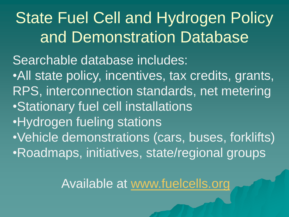**State Fuel Cell and Hydrogen Policy** and Demonstration Database Searchable database includes: •All state policy, incentives, tax credits, grants, RPS, interconnection standards, net metering •Stationary fuel cell installations •Hydrogen fueling stations •Vehicle demonstrations (cars, buses, forklifts) •Roadmaps, initiatives, state/regional groups

Available at [www.fuelcells.org](http://www.fuelcells.org/)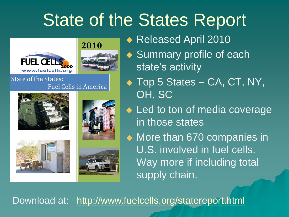# State of the States Report





#### **State of the States: Fuel Cells in America**









◆ Released April 2010

◆ Summary profile of each state's activity

◆ Top 5 States – CA, CT, NY, OH, SC

◆ Led to ton of media coverage in those states

◆ More than 670 companies in U.S. involved in fuel cells. Way more if including total supply chain.

Download at: http://www.fuelcells.org/statereport.html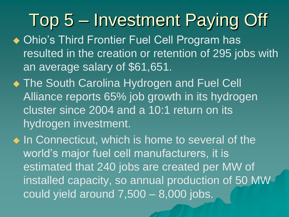Top 5 – Investment Paying Off

- ◆ Ohio's Third Frontier Fuel Cell Program has resulted in the creation or retention of 295 jobs with an average salary of \$61,651.
- **The South Carolina Hydrogen and Fuel Cell** Alliance reports 65% job growth in its hydrogen cluster since 2004 and a 10:1 return on its hydrogen investment.
- $\bullet$  In Connecticut, which is home to several of the world's major fuel cell manufacturers, it is estimated that 240 jobs are created per MW of installed capacity, so annual production of 50 MW could yield around 7,500 – 8,000 jobs.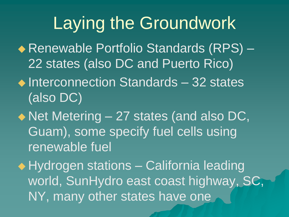# Laying the Groundwork

- ◆ Renewable Portfolio Standards (RPS) 22 states (also DC and Puerto Rico)
- $\triangle$  Interconnection Standards 32 states (also DC)
- ◆ Net Metering 27 states (and also DC, Guam), some specify fuel cells using renewable fuel
- ◆ Hydrogen stations California leading world, SunHydro east coast highway, SC, NY, many other states have one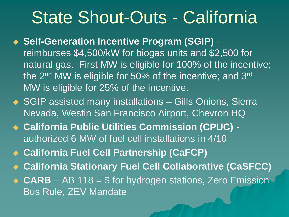#### State Shout-Outs - California

◆ Self-Generation Incentive Program (SGIP) reimburses \$4,500/kW for biogas units and \$2,500 for natural gas. First MW is eligible for 100% of the incentive; the 2<sup>nd</sup> MW is eligible for 50% of the incentive; and 3<sup>rd</sup> MW is eligible for 25% of the incentive.

- ◆ SGIP assisted many installations Gills Onions, Sierra Nevada, Westin San Francisco Airport, Chevron HQ
- **California Public Utilities Commission (CPUC)**  authorized 6 MW of fuel cell installations in 4/10
- **California Fuel Cell Partnership (CaFCP)**
- **California Stationary Fuel Cell Collaborative (CaSFCC)**

◆ CARB – AB 118 = \$ for hydrogen stations, Zero Emission Bus Rule, ZEV Mandate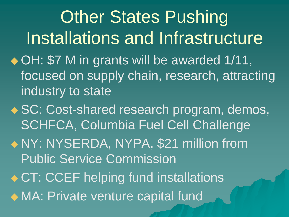**Other States Pushing** Installations and Infrastructure ◆ OH: \$7 M in grants will be awarded 1/11, focused on supply chain, research, attracting industry to state

◆ SC: Cost-shared research program, demos, SCHFCA, Columbia Fuel Cell Challenge

 NY: NYSERDA, NYPA, \$21 million from Public Service Commission

◆ CT: CCEF helping fund installations

MA: Private venture capital fund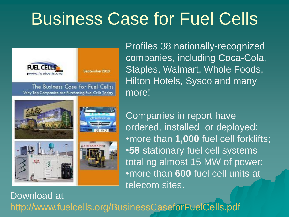# Business Case for Fuel Cells



Profiles 38 nationally-recognized companies, including Coca-Cola, Staples, Walmart, Whole Foods, Hilton Hotels, Sysco and many more!



Companies in report have ordered, installed or deployed: •more than **1,000** fuel cell forklifts; •**58** stationary fuel cell systems totaling almost 15 MW of power; •more than **600** fuel cell units at telecom sites.

Download at <http://www.fuelcells.org/BusinessCaseforFuelCells.pdf>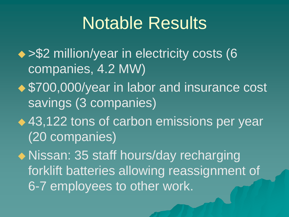#### Notable Results

- ◆ > \$2 million/year in electricity costs (6 companies, 4.2 MW)
- ◆ \$700,000/year in labor and insurance cost savings (3 companies)
- ◆ 43,122 tons of carbon emissions per year (20 companies)

◆ Nissan: 35 staff hours/day recharging forklift batteries allowing reassignment of 6-7 employees to other work.